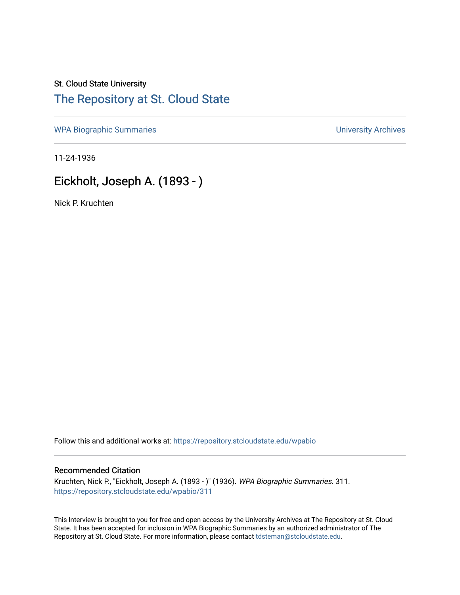## St. Cloud State University [The Repository at St. Cloud State](https://repository.stcloudstate.edu/)

[WPA Biographic Summaries](https://repository.stcloudstate.edu/wpabio) **WPA Biographic Summaries University Archives** 

11-24-1936

# Eickholt, Joseph A. (1893 - )

Nick P. Kruchten

Follow this and additional works at: [https://repository.stcloudstate.edu/wpabio](https://repository.stcloudstate.edu/wpabio?utm_source=repository.stcloudstate.edu%2Fwpabio%2F311&utm_medium=PDF&utm_campaign=PDFCoverPages) 

#### Recommended Citation

Kruchten, Nick P., "Eickholt, Joseph A. (1893 - )" (1936). WPA Biographic Summaries. 311. [https://repository.stcloudstate.edu/wpabio/311](https://repository.stcloudstate.edu/wpabio/311?utm_source=repository.stcloudstate.edu%2Fwpabio%2F311&utm_medium=PDF&utm_campaign=PDFCoverPages) 

This Interview is brought to you for free and open access by the University Archives at The Repository at St. Cloud State. It has been accepted for inclusion in WPA Biographic Summaries by an authorized administrator of The Repository at St. Cloud State. For more information, please contact [tdsteman@stcloudstate.edu.](mailto:tdsteman@stcloudstate.edu)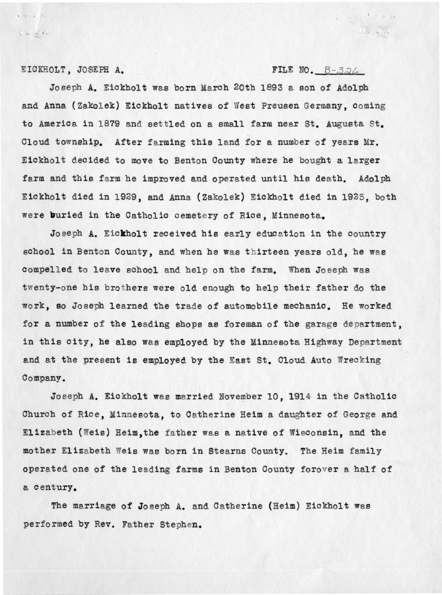#### EICKHOLT, JOSEPH *A:*

 $\begin{array}{l} \circ \\ \circ \end{array} \quad \begin{array}{l} \circ \\ \circ \end{array} \quad \begin{array}{l} \circ \\ \circ \end{array} \quad \begin{array}{l} \circ \\ \circ \end{array} \quad \begin{array}{l} \circ \\ \circ \end{array} \end{array}$ 

#### FILE NO.  $B-326$

 $40 - 11 - 11 - 12$ 

 $\overbrace{\Delta \Delta} = \overbrace{\Delta \Delta}$ 

Joseph A. Eickholt was born March 20th 1893 a son of Adolph and Anna (Zakolek) Eickholt natives of West Preusen Germany, coming to America in 1879 and settled on a small farm near St. Augusta St. Cloud township. After farming this land for a number of years Mr. Eickholt decided to move to Benton County where he bought a larger farm and this farm he improved and operated until his death. Adolph Eickholt died in 1929, and Anna (Zakolek) Eickholt died in 1925, both were **b**uried in the Catholic cemetery of Rice, Minnesota.

Joseph **A. Eickholt** received his early eduction in the country school in Benton County, and when he was thirteen years old, he was compelled to leave school and help on the farm. When Joseph was twenty-one his brothers were old enough to help their father do the work, so Joseph learned the trade of automobile mechanic. He worked for a number of the leading shops as foreman of the garage department, in this city, he also was employed by the Minnesota Highway Department and at the present is employed by the East St. Cloud Auto Wrecking Company.

Joseph A. Eickholt was married November 10, 1914 in the Catholic Church of Rice, Minnesota, to Catherine Heim a daughter of George and Elizabeth (Weis) Heim, the father was a native of Wisconsin, and the mother Elizabeth Weis was born in Stearns County. The Heim family operated one of the leading farms in Benton County forover a half of a century.

The marriage of Joseph A. and Catherine (Heim) Eickholt was performed by Rev. Father Stephen.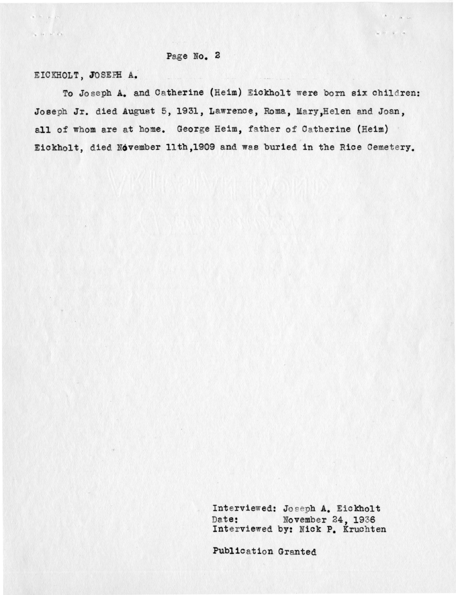#### Page No. 2

EICKHOLT, JOSEPH A.

 $\alpha=0$  ,  $\alpha=\alpha$  ,

 $S_{2} = 0 \quad \text{if} \quad P = 0.5$ 

To Joseph A. and Catherine (Heim) Eickholt were born six children: Joseph Jr. died August 5, 1931, Lawrence, Roma, Mary, Helen and Joan, all of whom are at home. George Heim, father of Catherine (Heim) Eickholt, died November 11th,1909 and was buried in the Rice Cemetery.

 $\label{eq:1} \mathbf{x} \in \mathbb{R}^{d} \cup \mathbb{R}^{d} \cup \mathbb{R}^{d}$ 

Int erviewed: Jo eeph A. Eickholt Date: November 24, 1936 Interviewed by: Nick P. Kruchten

Publication Granted